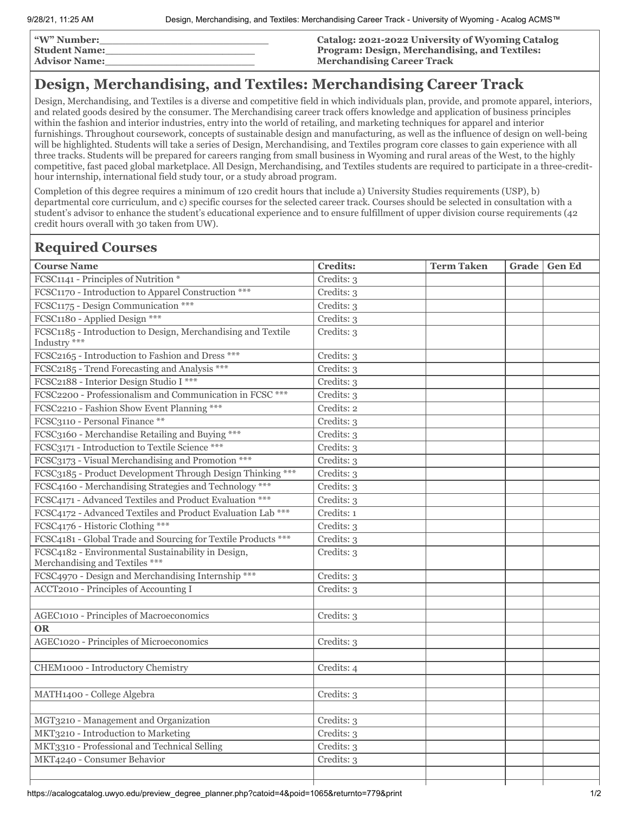| <b><i>W</i></b> " Number: | <b>Catalog: 2021-2022 University of Wyoming Catalog</b> |
|---------------------------|---------------------------------------------------------|
| <b>Student Name:</b>      | Program: Design, Merchandising, and Textiles:           |
| <b>Advisor Name:</b>      | <b>Merchandising Career Track</b>                       |

## **Design, Merchandising, and Textiles: Merchandising Career Track**

Design, Merchandising, and Textiles is a diverse and competitive field in which individuals plan, provide, and promote apparel, interiors, and related goods desired by the consumer. The Merchandising career track offers knowledge and application of business principles within the fashion and interior industries, entry into the world of retailing, and marketing techniques for apparel and interior furnishings. Throughout coursework, concepts of sustainable design and manufacturing, as well as the influence of design on well-being will be highlighted. Students will take a series of Design, Merchandising, and Textiles program core classes to gain experience with all three tracks. Students will be prepared for careers ranging from small business in Wyoming and rural areas of the West, to the highly competitive, fast paced global marketplace. All Design, Merchandising, and Textiles students are required to participate in a three-credithour internship, international field study tour, or a study abroad program.

Completion of this degree requires a minimum of 120 credit hours that include a) University Studies requirements (USP), b) departmental core curriculum, and c) specific courses for the selected career track. Courses should be selected in consultation with a student's advisor to enhance the student's educational experience and to ensure fulfillment of upper division course requirements (42 credit hours overall with 30 taken from UW).

## **Required Courses**

| <b>Course Name</b>                                                                   | <b>Credits:</b> | <b>Term Taken</b> | Grade | <b>Gen Ed</b> |
|--------------------------------------------------------------------------------------|-----------------|-------------------|-------|---------------|
| FCSC1141 - Principles of Nutrition *                                                 | Credits: 3      |                   |       |               |
| FCSC1170 - Introduction to Apparel Construction ***                                  | Credits: 3      |                   |       |               |
| FCSC1175 - Design Communication ***                                                  | Credits: 3      |                   |       |               |
| FCSC1180 - Applied Design ***                                                        | Credits: 3      |                   |       |               |
| FCSC1185 - Introduction to Design, Merchandising and Textile<br>Industry ***         | Credits: 3      |                   |       |               |
| FCSC2165 - Introduction to Fashion and Dress ***                                     | Credits: 3      |                   |       |               |
| FCSC2185 - Trend Forecasting and Analysis ***                                        | Credits: 3      |                   |       |               |
| FCSC2188 - Interior Design Studio I ***                                              | Credits: 3      |                   |       |               |
| FCSC2200 - Professionalism and Communication in FCSC ***                             | Credits: 3      |                   |       |               |
| FCSC2210 - Fashion Show Event Planning ***                                           | Credits: 2      |                   |       |               |
| FCSC3110 - Personal Finance **                                                       | Credits: 3      |                   |       |               |
| FCSC3160 - Merchandise Retailing and Buying ***                                      | Credits: 3      |                   |       |               |
| FCSC3171 - Introduction to Textile Science ***                                       | Credits: 3      |                   |       |               |
| FCSC3173 - Visual Merchandising and Promotion ***                                    | Credits: 3      |                   |       |               |
| FCSC3185 - Product Development Through Design Thinking ***                           | Credits: 3      |                   |       |               |
| FCSC4160 - Merchandising Strategies and Technology ***                               | Credits: 3      |                   |       |               |
| FCSC4171 - Advanced Textiles and Product Evaluation ***                              | Credits: 3      |                   |       |               |
| FCSC4172 - Advanced Textiles and Product Evaluation Lab ***                          | Credits: 1      |                   |       |               |
| FCSC4176 - Historic Clothing ***                                                     | Credits: 3      |                   |       |               |
| FCSC4181 - Global Trade and Sourcing for Textile Products ***                        | Credits: 3      |                   |       |               |
| FCSC4182 - Environmental Sustainability in Design,<br>Merchandising and Textiles *** | Credits: 3      |                   |       |               |
| FCSC4970 - Design and Merchandising Internship ***                                   | Credits: 3      |                   |       |               |
| ACCT2010 - Principles of Accounting I                                                | Credits: 3      |                   |       |               |
|                                                                                      |                 |                   |       |               |
| <b>AGEC1010 - Principles of Macroeconomics</b>                                       | Credits: 3      |                   |       |               |
| <b>OR</b>                                                                            |                 |                   |       |               |
| AGEC1020 - Principles of Microeconomics                                              | Credits: 3      |                   |       |               |
|                                                                                      |                 |                   |       |               |
| CHEM1000 - Introductory Chemistry                                                    | Credits: 4      |                   |       |               |
|                                                                                      |                 |                   |       |               |
| MATH1400 - College Algebra                                                           | Credits: 3      |                   |       |               |
|                                                                                      |                 |                   |       |               |
| MGT3210 - Management and Organization                                                | Credits: 3      |                   |       |               |
| MKT3210 - Introduction to Marketing                                                  | Credits: 3      |                   |       |               |
| MKT3310 - Professional and Technical Selling                                         | Credits: 3      |                   |       |               |
| MKT4240 - Consumer Behavior                                                          | Credits: 3      |                   |       |               |
|                                                                                      |                 |                   |       |               |